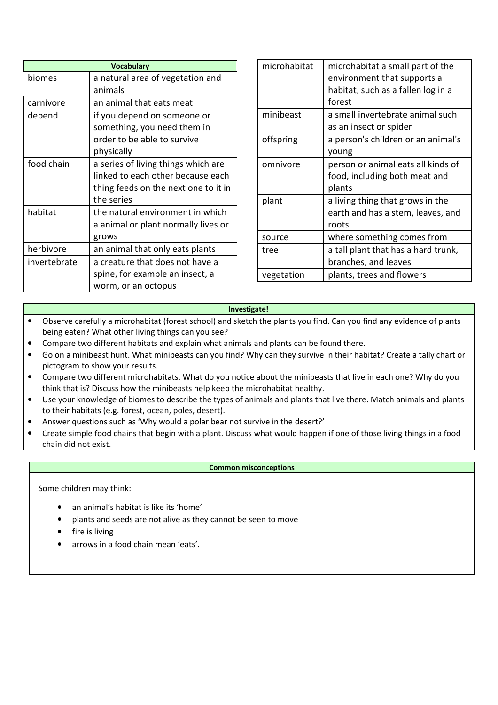| <b>Vocabulary</b> |                                                                                                                                |
|-------------------|--------------------------------------------------------------------------------------------------------------------------------|
| biomes            | a natural area of vegetation and<br>animals                                                                                    |
| carnivore         | an animal that eats meat                                                                                                       |
| depend            | if you depend on someone or<br>something, you need them in<br>order to be able to survive<br>physically                        |
| food chain        | a series of living things which are<br>linked to each other because each<br>thing feeds on the next one to it in<br>the series |
| habitat           | the natural environment in which<br>a animal or plant normally lives or<br>grows                                               |
| herbivore         | an animal that only eats plants                                                                                                |
| invertebrate      | a creature that does not have a<br>spine, for example an insect, a<br>worm, or an octopus                                      |

| microhabitat | microhabitat a small part of the<br>environment that supports a<br>habitat, such as a fallen log in a<br>forest |
|--------------|-----------------------------------------------------------------------------------------------------------------|
| minibeast    | a small invertebrate animal such<br>as an insect or spider                                                      |
| offspring    | a person's children or an animal's<br>young                                                                     |
| omnivore     | person or animal eats all kinds of<br>food, including both meat and<br>plants                                   |
| plant        | a living thing that grows in the<br>earth and has a stem, leaves, and<br>roots                                  |
| source       | where something comes from                                                                                      |
| tree         | a tall plant that has a hard trunk,<br>branches, and leaves                                                     |
| vegetation   | plants, trees and flowers                                                                                       |

## **Investigate!**

- Observe carefully a microhabitat (forest school) and sketch the plants you find. Can you find any evidence of plants being eaten? What other living things can you see?
- Compare two different habitats and explain what animals and plants can be found there.
- Go on a minibeast hunt. What minibeasts can you find? Why can they survive in their habitat? Create a tally chart or pictogram to show your results.
- Compare two different microhabitats. What do you notice about the minibeasts that live in each one? Why do you think that is? Discuss how the minibeasts help keep the microhabitat healthy.
- Use your knowledge of biomes to describe the types of animals and plants that live there. Match animals and plants to their habitats (e.g. forest, ocean, poles, desert).
- Answer questions such as 'Why would a polar bear not survive in the desert?'
- Create simple food chains that begin with a plant. Discuss what would happen if one of those living things in a food chain did not exist.

## **Common misconceptions**

Some children may think:

- an animal's habitat is like its 'home'
- plants and seeds are not alive as they cannot be seen to move
- fire is living
- arrows in a food chain mean 'eats'.